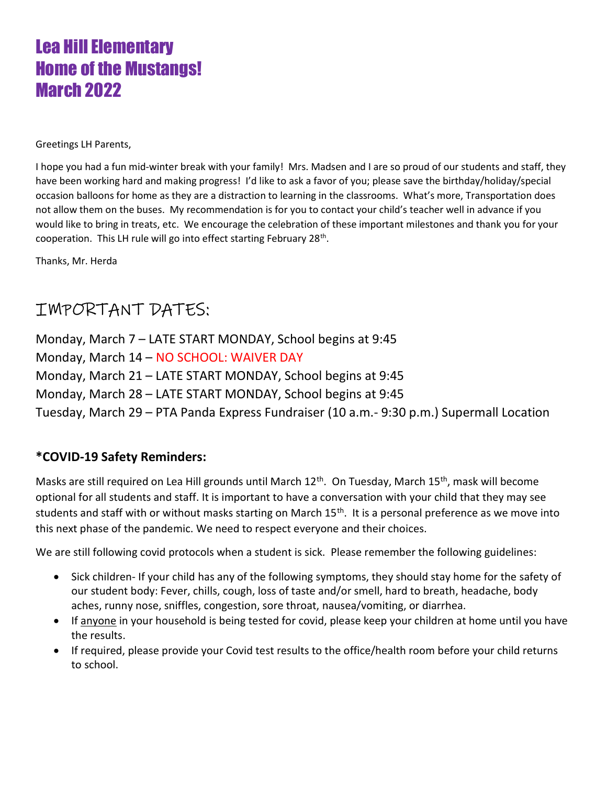# Lea Hill Elementary Home of the Mustangs! March 2022

Greetings LH Parents,

I hope you had a fun mid-winter break with your family! Mrs. Madsen and I are so proud of our students and staff, they have been working hard and making progress! I'd like to ask a favor of you; please save the birthday/holiday/special occasion balloons for home as they are a distraction to learning in the classrooms. What's more, Transportation does not allow them on the buses. My recommendation is for you to contact your child's teacher well in advance if you would like to bring in treats, etc. We encourage the celebration of these important milestones and thank you for your cooperation. This LH rule will go into effect starting February 28<sup>th</sup>.

Thanks, Mr. Herda

## IMPORTANT DATES:

Monday, March 7 – LATE START MONDAY, School begins at 9:45 Monday, March 14 – NO SCHOOL: WAIVER DAY Monday, March 21 – LATE START MONDAY, School begins at 9:45 Monday, March 28 – LATE START MONDAY, School begins at 9:45 Tuesday, March 29 – PTA Panda Express Fundraiser (10 a.m.- 9:30 p.m.) Supermall Location

#### \*COVID-19 Safety Reminders:

Masks are still required on Lea Hill grounds until March 12<sup>th</sup>. On Tuesday, March 15<sup>th</sup>, mask will become optional for all students and staff. It is important to have a conversation with your child that they may see students and staff with or without masks starting on March 15<sup>th</sup>. It is a personal preference as we move into this next phase of the pandemic. We need to respect everyone and their choices.

We are still following covid protocols when a student is sick. Please remember the following guidelines:

- Sick children- If your child has any of the following symptoms, they should stay home for the safety of our student body: Fever, chills, cough, loss of taste and/or smell, hard to breath, headache, body aches, runny nose, sniffles, congestion, sore throat, nausea/vomiting, or diarrhea.
- If anyone in your household is being tested for covid, please keep your children at home until you have the results.
- If required, please provide your Covid test results to the office/health room before your child returns to school.